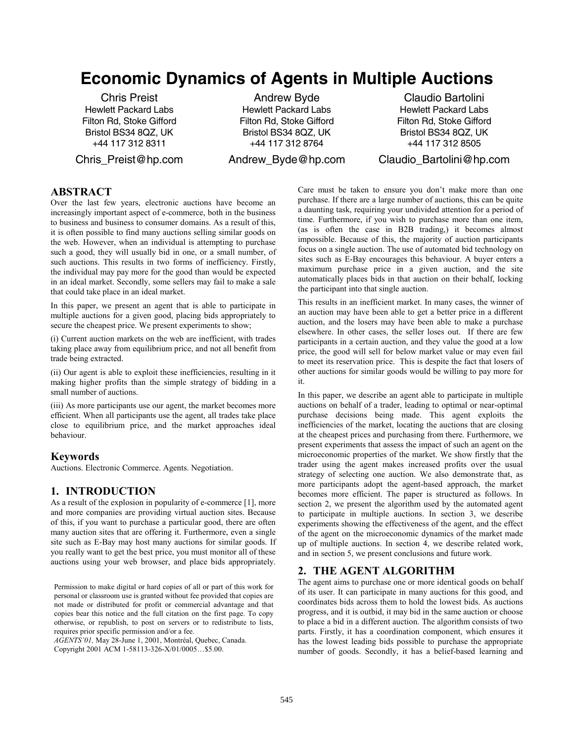# **Economic Dynamics of Agents in Multiple Auctions**

Chris Preist Hewlett Packard Labs Filton Rd, Stoke Gifford Bristol BS34 8QZ, UK +44 117 312 8311

Chris\_Preist@hp.com

Andrew Byde Hewlett Packard Labs Filton Rd, Stoke Gifford Bristol BS34 8QZ, UK +44 117 312 8764

Andrew\_Byde@hp.com

Claudio Bartolini Hewlett Packard Labs Filton Rd, Stoke Gifford Bristol BS34 8QZ, UK +44 117 312 8505

Claudio\_Bartolini@hp.com

# **ABSTRACT**

Over the last few years, electronic auctions have become an increasingly important aspect of e-commerce, both in the business to business and business to consumer domains. As a result of this, it is often possible to find many auctions selling similar goods on the web. However, when an individual is attempting to purchase such a good, they will usually bid in one, or a small number, of such auctions. This results in two forms of inefficiency. Firstly, the individual may pay more for the good than would be expected in an ideal market. Secondly, some sellers may fail to make a sale that could take place in an ideal market.

In this paper, we present an agent that is able to participate in multiple auctions for a given good, placing bids appropriately to secure the cheapest price. We present experiments to show;

(i) Current auction markets on the web are inefficient, with trades taking place away from equilibrium price, and not all benefit from trade being extracted.

(ii) Our agent is able to exploit these inefficiencies, resulting in it making higher profits than the simple strategy of bidding in a small number of auctions.

(iii) As more participants use our agent, the market becomes more efficient. When all participants use the agent, all trades take place close to equilibrium price, and the market approaches ideal behaviour.

# **Keywords**

Auctions. Electronic Commerce. Agents. Negotiation.

# **1. INTRODUCTION**

As a result of the explosion in popularity of e-commerce [1], more and more companies are providing virtual auction sites. Because of this, if you want to purchase a particular good, there are often many auction sites that are offering it. Furthermore, even a single site such as E-Bay may host many auctions for similar goods. If you really want to get the best price, you must monitor all of these auctions using your web browser, and place bids appropriately.

Permission to make digital or hard copies of all or part of this work for personal or classroom use is granted without fee provided that copies are not made or distributed for profit or commercial advantage and that copies bear this notice and the full citation on the first page. To copy otherwise, or republish, to post on servers or to redistribute to lists, requires prior specific permission and/or a fee.

*AGENTS'01,* May 28-June 1, 2001, Montréal, Quebec, Canada. Copyright 2001 ACM 1-58113-326-X/01/0005…\$5.00.

Care must be taken to ensure you don't make more than one purchase. If there are a large number of auctions, this can be quite a daunting task, requiring your undivided attention for a period of time. Furthermore, if you wish to purchase more than one item, (as is often the case in B2B trading,) it becomes almost impossible. Because of this, the majority of auction participants focus on a single auction. The use of automated bid technology on sites such as E-Bay encourages this behaviour. A buyer enters a maximum purchase price in a given auction, and the site automatically places bids in that auction on their behalf, locking the participant into that single auction.

This results in an inefficient market. In many cases, the winner of an auction may have been able to get a better price in a different auction, and the losers may have been able to make a purchase elsewhere. In other cases, the seller loses out. If there are few participants in a certain auction, and they value the good at a low price, the good will sell for below market value or may even fail to meet its reservation price. This is despite the fact that losers of other auctions for similar goods would be willing to pay more for it.

In this paper, we describe an agent able to participate in multiple auctions on behalf of a trader, leading to optimal or near-optimal purchase decisions being made. This agent exploits the inefficiencies of the market, locating the auctions that are closing at the cheapest prices and purchasing from there. Furthermore, we present experiments that assess the impact of such an agent on the microeconomic properties of the market. We show firstly that the trader using the agent makes increased profits over the usual strategy of selecting one auction. We also demonstrate that, as more participants adopt the agent-based approach, the market becomes more efficient. The paper is structured as follows. In section 2, we present the algorithm used by the automated agent to participate in multiple auctions. In section 3, we describe experiments showing the effectiveness of the agent, and the effect of the agent on the microeconomic dynamics of the market made up of multiple auctions. In section 4, we describe related work, and in section 5, we present conclusions and future work.

# **2. THE AGENT ALGORITHM**

The agent aims to purchase one or more identical goods on behalf of its user. It can participate in many auctions for this good, and coordinates bids across them to hold the lowest bids. As auctions progress, and it is outbid, it may bid in the same auction or choose to place a bid in a different auction. The algorithm consists of two parts. Firstly, it has a coordination component, which ensures it has the lowest leading bids possible to purchase the appropriate number of goods. Secondly, it has a belief-based learning and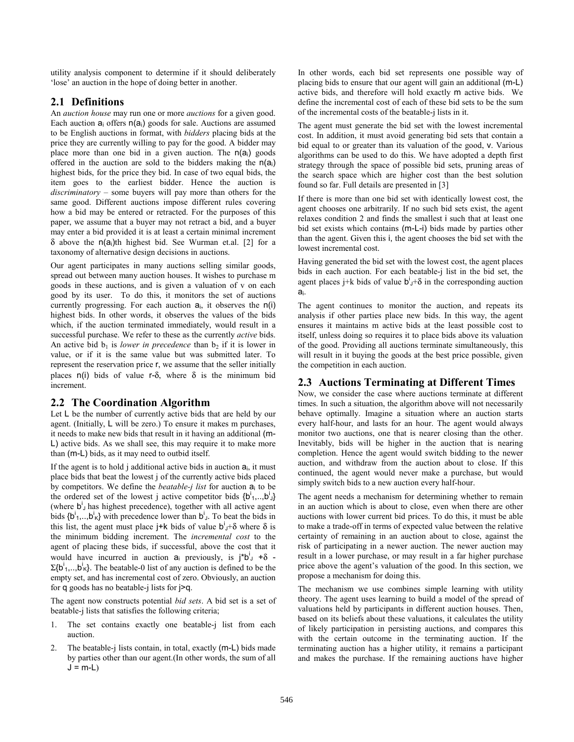utility analysis component to determine if it should deliberately 'lose' an auction in the hope of doing better in another.

## **2.1 Definitions**

An *auction house* may run one or more *auctions* for a given good. Each auction  $a_i$  offers  $n(a_i)$  goods for sale. Auctions are assumed to be English auctions in format, with *bidders* placing bids at the price they are currently willing to pay for the good. A bidder may place more than one bid in a given auction. The  $n(a_i)$  goods offered in the auction are sold to the bidders making the  $n(a_i)$ highest bids, for the price they bid. In case of two equal bids, the item goes to the earliest bidder. Hence the auction is *discriminatory* – some buyers will pay more than others for the same good. Different auctions impose different rules covering how a bid may be entered or retracted. For the purposes of this paper, we assume that a buyer may not retract a bid, and a buyer may enter a bid provided it is at least a certain minimal increment  $\delta$  above the  $n(a_i)$ th highest bid. See Wurman et.al. [2] for a taxonomy of alternative design decisions in auctions.

Our agent participates in many auctions selling similar goods, spread out between many auction houses. It wishes to purchase m goods in these auctions, and is given a valuation of v on each good by its user. To do this, it monitors the set of auctions currently progressing. For each auction  $a_i$ , it observes the  $n(i)$ highest bids. In other words, it observes the values of the bids which, if the auction terminated immediately, would result in a successful purchase. We refer to these as the currently *active* bids. An active bid  $b_1$  is *lower in precedence* than  $b_2$  if it is lower in value, or if it is the same value but was submitted later. To represent the reservation price r, we assume that the seller initially places  $n(i)$  bids of value r-δ, where  $\delta$  is the minimum bid increment.

#### **2.2 The Coordination Algorithm**

Let L be the number of currently active bids that are held by our agent. (Initially, L will be zero.) To ensure it makes m purchases, it needs to make new bids that result in it having an additional (m-L) active bids. As we shall see, this may require it to make more than (m-L) bids, as it may need to outbid itself.

If the agent is to hold j additional active bids in auction  $a_i$ , it must place bids that beat the lowest j of the currently active bids placed by competitors. We define the *beatable-j list* for auction ai to be the ordered set of the lowest j active competitor bids  $\{b^i_1, \ldots, b^i_j\}$ (where b<sup>i</sup> <sup>J</sup> has highest precedence), together with all active agent bids  $\{b_1^i, \ldots, b_K^i\}$  with precedence lower than  $b_1^i$ . To beat the bids in this list, the agent must place j+k bids of value  $b^i$ <sub>J</sub>+ $\delta$  where  $\delta$  is the minimum bidding increment. The *incremental cost* to the agent of placing these bids, if successful, above the cost that it would have incurred in auction  $a_i$  previously, is  $j^*b^i$  +  $\delta$  - $\Sigma\{b^i_1,..,b^i_k\}$ . The beatable-0 list of any auction is defined to be the empty set, and has incremental cost of zero. Obviously, an auction for q goods has no beatable-j lists for j>q.

The agent now constructs potential *bid sets*. A bid set is a set of beatable-j lists that satisfies the following criteria;

- 1. The set contains exactly one beatable-j list from each auction.
- 2. The beatable-j lists contain, in total, exactly (m-L) bids made by parties other than our agent.(In other words, the sum of all  $J = m-L$

In other words, each bid set represents one possible way of placing bids to ensure that our agent will gain an additional (m-L) active bids, and therefore will hold exactly m active bids. We define the incremental cost of each of these bid sets to be the sum of the incremental costs of the beatable-j lists in it.

The agent must generate the bid set with the lowest incremental cost. In addition, it must avoid generating bid sets that contain a bid equal to or greater than its valuation of the good, v. Various algorithms can be used to do this. We have adopted a depth first strategy through the space of possible bid sets, pruning areas of the search space which are higher cost than the best solution found so far. Full details are presented in [3]

If there is more than one bid set with identically lowest cost, the agent chooses one arbitrarily. If no such bid sets exist, the agent relaxes condition 2 and finds the smallest i such that at least one bid set exists which contains (m-L-i) bids made by parties other than the agent. Given this i, the agent chooses the bid set with the lowest incremental cost.

Having generated the bid set with the lowest cost, the agent places bids in each auction. For each beatable-j list in the bid set, the agent places j+k bids of value  $b^j$ <sub>J</sub>+ $\delta$  in the corresponding auction ai.

The agent continues to monitor the auction, and repeats its analysis if other parties place new bids. In this way, the agent ensures it maintains m active bids at the least possible cost to itself, unless doing so requires it to place bids above its valuation of the good. Providing all auctions terminate simultaneously, this will result in it buying the goods at the best price possible, given the competition in each auction.

#### **2.3 Auctions Terminating at Different Times**

Now, we consider the case where auctions terminate at different times. In such a situation, the algorithm above will not necessarily behave optimally. Imagine a situation where an auction starts every half-hour, and lasts for an hour. The agent would always monitor two auctions, one that is nearer closing than the other. Inevitably, bids will be higher in the auction that is nearing completion. Hence the agent would switch bidding to the newer auction, and withdraw from the auction about to close. If this continued, the agent would never make a purchase, but would simply switch bids to a new auction every half-hour.

The agent needs a mechanism for determining whether to remain in an auction which is about to close, even when there are other auctions with lower current bid prices. To do this, it must be able to make a trade-off in terms of expected value between the relative certainty of remaining in an auction about to close, against the risk of participating in a newer auction. The newer auction may result in a lower purchase, or may result in a far higher purchase price above the agent's valuation of the good. In this section, we propose a mechanism for doing this.

The mechanism we use combines simple learning with utility theory. The agent uses learning to build a model of the spread of valuations held by participants in different auction houses. Then, based on its beliefs about these valuations, it calculates the utility of likely participation in persisting auctions, and compares this with the certain outcome in the terminating auction. If the terminating auction has a higher utility, it remains a participant and makes the purchase. If the remaining auctions have higher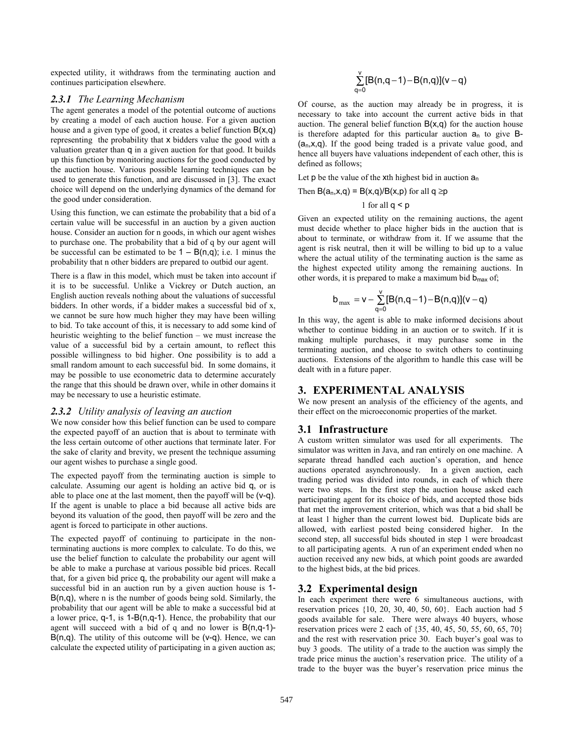expected utility, it withdraws from the terminating auction and continues participation elsewhere.

#### *2.3.1 The Learning Mechanism*

The agent generates a model of the potential outcome of auctions by creating a model of each auction house. For a given auction house and a given type of good, it creates a belief function  $B(x,q)$ representing the probability that x bidders value the good with a valuation greater than q in a given auction for that good. It builds up this function by monitoring auctions for the good conducted by the auction house. Various possible learning techniques can be used to generate this function, and are discussed in [3]. The exact choice will depend on the underlying dynamics of the demand for the good under consideration.

Using this function, we can estimate the probability that a bid of a certain value will be successful in an auction by a given auction house. Consider an auction for n goods, in which our agent wishes to purchase one. The probability that a bid of q by our agent will be successful can be estimated to be  $1 - B(n,q)$ ; i.e. 1 minus the probability that n other bidders are prepared to outbid our agent.

There is a flaw in this model, which must be taken into account if it is to be successful. Unlike a Vickrey or Dutch auction, an English auction reveals nothing about the valuations of successful bidders. In other words, if a bidder makes a successful bid of x, we cannot be sure how much higher they may have been willing to bid. To take account of this, it is necessary to add some kind of heuristic weighting to the belief function – we must increase the value of a successful bid by a certain amount, to reflect this possible willingness to bid higher. One possibility is to add a small random amount to each successful bid. In some domains, it may be possible to use econometric data to determine accurately the range that this should be drawn over, while in other domains it may be necessary to use a heuristic estimate.

#### *2.3.2 Utility analysis of leaving an auction*

We now consider how this belief function can be used to compare the expected payoff of an auction that is about to terminate with the less certain outcome of other auctions that terminate later. For the sake of clarity and brevity, we present the technique assuming our agent wishes to purchase a single good.

The expected payoff from the terminating auction is simple to calculate. Assuming our agent is holding an active bid q, or is able to place one at the last moment, then the payoff will be (v-q). If the agent is unable to place a bid because all active bids are beyond its valuation of the good, then payoff will be zero and the agent is forced to participate in other auctions.

The expected payoff of continuing to participate in the nonterminating auctions is more complex to calculate. To do this, we use the belief function to calculate the probability our agent will be able to make a purchase at various possible bid prices. Recall that, for a given bid price q, the probability our agent will make a successful bid in an auction run by a given auction house is 1- B(n,q), where n is the number of goods being sold. Similarly, the probability that our agent will be able to make a successful bid at a lower price, q-1, is 1-B(n,q-1). Hence, the probability that our agent will succeed with a bid of q and no lower is  $B(n,q-1)$ - $B(n,q)$ . The utility of this outcome will be  $(v-q)$ . Hence, we can calculate the expected utility of participating in a given auction as;

$$
\sum_{q=0}^{v} [B(n,q-1) - B(n,q)](v-q)
$$

Of course, as the auction may already be in progress, it is necessary to take into account the current active bids in that auction. The general belief function  $B(x,q)$  for the auction house is therefore adapted for this particular auction  $a_n$  to give B- $(a_n, x, q)$ . If the good being traded is a private value good, and hence all buyers have valuations independent of each other, this is defined as follows;

Let p be the value of the xth highest bid in auction  $a_n$ 

Then B(
$$
a_n
$$
, $x$ , $q$ ) = B( $x$ , $q$ )/B( $x$ , $p$ ) for all  $q \ge p$ 

$$
1 \text{ for all } q < p
$$

Given an expected utility on the remaining auctions, the agent must decide whether to place higher bids in the auction that is about to terminate, or withdraw from it. If we assume that the agent is risk neutral, then it will be willing to bid up to a value where the actual utility of the terminating auction is the same as the highest expected utility among the remaining auctions. In other words, it is prepared to make a maximum bid  $b_{\text{max}}$  of;

$$
b_{max} = v - \sum_{q=0}^{v} [B(n,q-1) - B(n,q)](v-q)
$$

In this way, the agent is able to make informed decisions about whether to continue bidding in an auction or to switch. If it is making multiple purchases, it may purchase some in the terminating auction, and choose to switch others to continuing auctions. Extensions of the algorithm to handle this case will be dealt with in a future paper.

# **3. EXPERIMENTAL ANALYSIS**

We now present an analysis of the efficiency of the agents, and their effect on the microeconomic properties of the market.

#### **3.1 Infrastructure**

A custom written simulator was used for all experiments. The simulator was written in Java, and ran entirely on one machine. A separate thread handled each auction's operation, and hence auctions operated asynchronously. In a given auction, each trading period was divided into rounds, in each of which there were two steps. In the first step the auction house asked each participating agent for its choice of bids, and accepted those bids that met the improvement criterion, which was that a bid shall be at least 1 higher than the current lowest bid. Duplicate bids are allowed, with earliest posted being considered higher. In the second step, all successful bids shouted in step 1 were broadcast to all participating agents. A run of an experiment ended when no auction received any new bids, at which point goods are awarded to the highest bids, at the bid prices.

## **3.2 Experimental design**

In each experiment there were 6 simultaneous auctions, with reservation prices {10, 20, 30, 40, 50, 60}. Each auction had 5 goods available for sale. There were always 40 buyers, whose reservation prices were 2 each of {35, 40, 45, 50, 55, 60, 65, 70} and the rest with reservation price 30. Each buyer's goal was to buy 3 goods. The utility of a trade to the auction was simply the trade price minus the auction's reservation price. The utility of a trade to the buyer was the buyer's reservation price minus the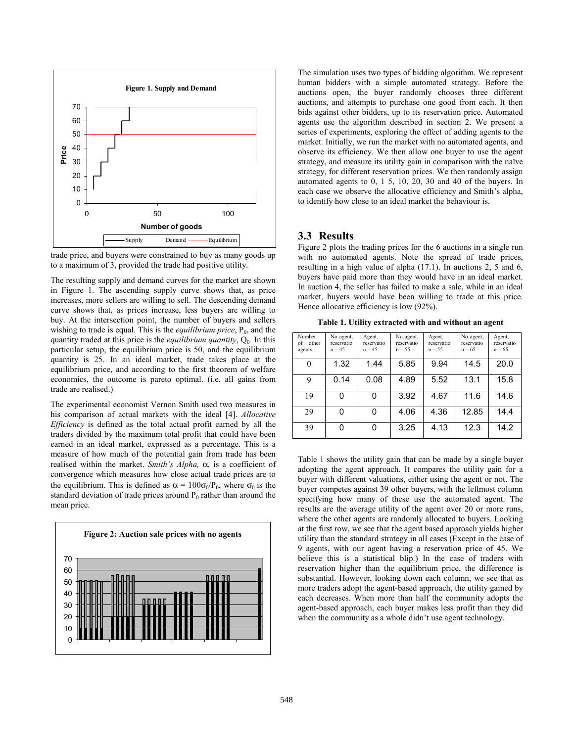

trade price, and buyers were constrained to buy as many goods up to a maximum of 3, provided the trade had positive utility.

The resulting supply and demand curves for the market are shown in Figure 1. The ascending supply curve shows that, as price increases, more sellers are willing to sell. The descending demand curve shows that, as prices increase, less buyers are willing to buy. At the intersection point, the number of buyers and sellers wishing to trade is equal. This is the *equilibrium price*, P<sub>0</sub>, and the quantity traded at this price is the *equilibrium quantity*,  $Q_0$ . In this particular setup, the equilibrium price is 50, and the equilibrium quantity is 25. In an ideal market, trade takes place at the equilibrium price, and according to the first theorem of welfare economics, the outcome is pareto optimal. (i.e. all gains from trade are realised.)

The experimental economist Vernon Smith used two measures in his comparison of actual markets with the ideal [4]. *Allocative Efficiency* is defined as the total actual profit earned by all the traders divided by the maximum total profit that could have been earned in an ideal market, expressed as a percentage. This is a measure of how much of the potential gain from trade has been realised within the market. *Smith's Alpha,* α, is a coefficient of convergence which measures how close actual trade prices are to the equilibrium. This is defined as  $\alpha = 100\sigma_0/P_0$ , where  $\sigma_0$  is the standard deviation of trade prices around  $P_0$  rather than around the mean price.



The simulation uses two types of bidding algorithm. We represent human bidders with a simple automated strategy. Before the auctions open, the buyer randomly chooses three different auctions, and attempts to purchase one good from each. It then bids against other bidders, up to its reservation price. Automated agents use the algorithm described in section 2. We present a series of experiments, exploring the effect of adding agents to the market. Initially, we run the market with no automated agents, and observe its efficiency. We then allow one buyer to use the agent strategy, and measure its utility gain in comparison with the naïve strategy, for different reservation prices. We then randomly assign automated agents to 0, 1 5, 10, 20, 30 and 40 of the buyers. In each case we observe the allocative efficiency and Smith's alpha, to identify how close to an ideal market the behaviour is.

# **3.3 Results**

Figure 2 plots the trading prices for the 6 auctions in a single run with no automated agents. Note the spread of trade prices, resulting in a high value of alpha (17.1). In auctions 2, 5 and 6, buyers have paid more than they would have in an ideal market. In auction 4, the seller has failed to make a sale, while in an ideal market, buyers would have been willing to trade at this price. Hence allocative efficiency is low (92%).

**Table 1. Utility extracted with and without an agent**

| Number<br>of other<br>agents | No agent,<br>reservatio<br>$n = 45$ | Agent,<br>reservatio<br>$n = 45$ | No agent,<br>reservatio<br>$n = 55$ | Agent,<br>reservatio<br>$n = 55$ | No agent,<br>reservatio<br>$n = 65$ | Agent,<br>reservatio<br>$n = 65$ |
|------------------------------|-------------------------------------|----------------------------------|-------------------------------------|----------------------------------|-------------------------------------|----------------------------------|
|                              | 1.32                                | 1.44                             | 5.85                                | 9.94                             | 14.5                                | 20.0                             |
| 9                            | 0.14                                | 0.08                             | 4.89                                | 5.52                             | 13.1                                | 15.8                             |
| 19                           | 0                                   | 0                                | 3.92                                | 4.67                             | 11.6                                | 14.6                             |
| 29                           | O                                   | 0                                | 4.06                                | 4.36                             | 12.85                               | 14.4                             |
| 39                           | 0                                   | 0                                | 3.25                                | 4.13                             | 12.3                                | 14.2                             |

Table 1 shows the utility gain that can be made by a single buyer adopting the agent approach. It compares the utility gain for a buyer with different valuations, either using the agent or not. The buyer competes against 39 other buyers, with the leftmost column specifying how many of these use the automated agent. The results are the average utility of the agent over 20 or more runs, where the other agents are randomly allocated to buyers. Looking at the first row, we see that the agent based approach yields higher utility than the standard strategy in all cases (Except in the case of 9 agents, with our agent having a reservation price of 45. We believe this is a statistical blip.) In the case of traders with reservation higher than the equilibrium price, the difference is substantial. However, looking down each column, we see that as more traders adopt the agent-based approach, the utility gained by each decreases. When more than half the community adopts the agent-based approach, each buyer makes less profit than they did when the community as a whole didn't use agent technology.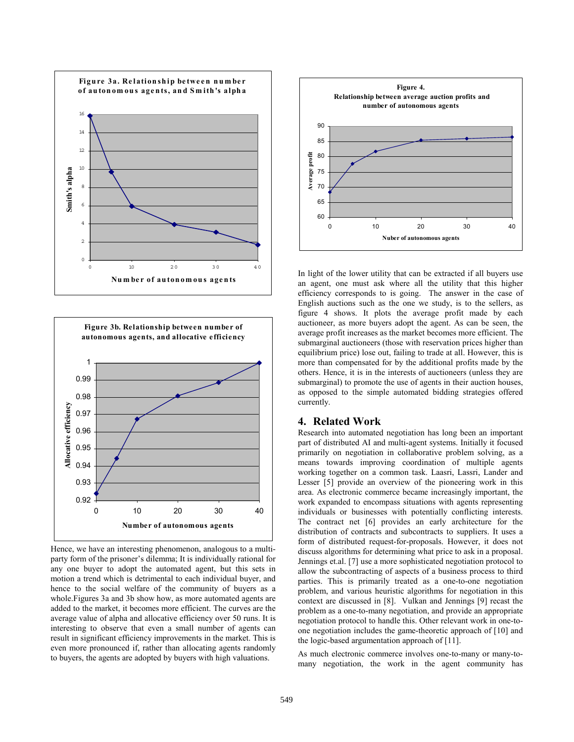



Hence, we have an interesting phenomenon, analogous to a multiparty form of the prisoner's dilemma; It is individually rational for any one buyer to adopt the automated agent, but this sets in motion a trend which is detrimental to each individual buyer, and hence to the social welfare of the community of buyers as a whole.Figures 3a and 3b show how, as more automated agents are added to the market, it becomes more efficient. The curves are the average value of alpha and allocative efficiency over 50 runs. It is interesting to observe that even a small number of agents can result in significant efficiency improvements in the market. This is even more pronounced if, rather than allocating agents randomly to buyers, the agents are adopted by buyers with high valuations.



In light of the lower utility that can be extracted if all buyers use an agent, one must ask where all the utility that this higher efficiency corresponds to is going. The answer in the case of English auctions such as the one we study, is to the sellers, as figure 4 shows. It plots the average profit made by each auctioneer, as more buyers adopt the agent. As can be seen, the average profit increases as the market becomes more efficient. The submarginal auctioneers (those with reservation prices higher than equilibrium price) lose out, failing to trade at all. However, this is more than compensated for by the additional profits made by the others. Hence, it is in the interests of auctioneers (unless they are submarginal) to promote the use of agents in their auction houses, as opposed to the simple automated bidding strategies offered currently.

#### **4. Related Work**

Research into automated negotiation has long been an important part of distributed AI and multi-agent systems. Initially it focused primarily on negotiation in collaborative problem solving, as a means towards improving coordination of multiple agents working together on a common task. Laasri, Lassri, Lander and Lesser [5] provide an overview of the pioneering work in this area. As electronic commerce became increasingly important, the work expanded to encompass situations with agents representing individuals or businesses with potentially conflicting interests. The contract net [6] provides an early architecture for the distribution of contracts and subcontracts to suppliers. It uses a form of distributed request-for-proposals. However, it does not discuss algorithms for determining what price to ask in a proposal. Jennings et.al. [7] use a more sophisticated negotiation protocol to allow the subcontracting of aspects of a business process to third parties. This is primarily treated as a one-to-one negotiation problem, and various heuristic algorithms for negotiation in this context are discussed in [8]. Vulkan and Jennings [9] recast the problem as a one-to-many negotiation, and provide an appropriate negotiation protocol to handle this. Other relevant work in one-toone negotiation includes the game-theoretic approach of [10] and the logic-based argumentation approach of [11].

As much electronic commerce involves one-to-many or many-tomany negotiation, the work in the agent community has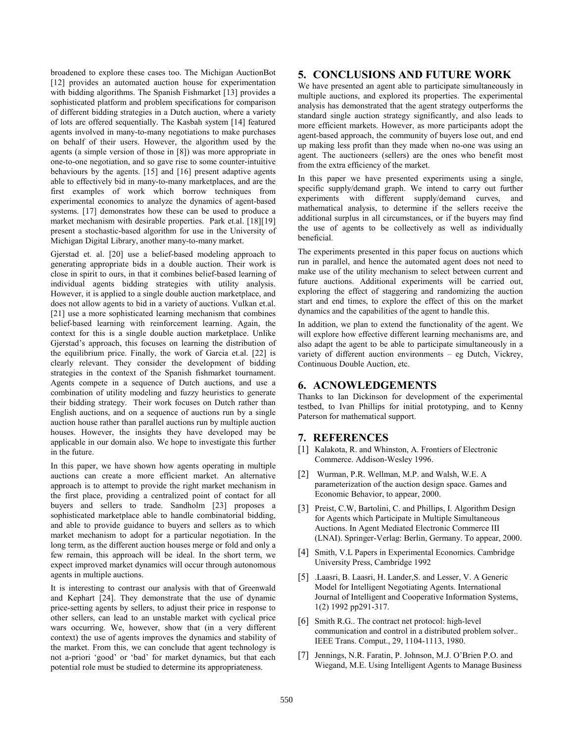broadened to explore these cases too. The Michigan AuctionBot [12] provides an automated auction house for experimentation with bidding algorithms. The Spanish Fishmarket  $\left[13\right]$  provides a sophisticated platform and problem specifications for comparison of different bidding strategies in a Dutch auction, where a variety of lots are offered sequentially. The Kasbah system [14] featured agents involved in many-to-many negotiations to make purchases on behalf of their users. However, the algorithm used by the agents (a simple version of those in [8]) was more appropriate in one-to-one negotiation, and so gave rise to some counter-intuitive behaviours by the agents. [15] and [16] present adaptive agents able to effectively bid in many-to-many marketplaces, and are the first examples of work which borrow techniques from experimental economics to analyze the dynamics of agent-based systems. [17] demonstrates how these can be used to produce a market mechanism with desirable properties. Park et.al. [18][19] present a stochastic-based algorithm for use in the University of Michigan Digital Library, another many-to-many market.

Gjerstad et. al. [20] use a belief-based modeling approach to generating appropriate bids in a double auction. Their work is close in spirit to ours, in that it combines belief-based learning of individual agents bidding strategies with utility analysis. However, it is applied to a single double auction marketplace, and does not allow agents to bid in a variety of auctions. Vulkan et.al. [21] use a more sophisticated learning mechanism that combines belief-based learning with reinforcement learning. Again, the context for this is a single double auction marketplace. Unlike Gjerstad's approach, this focuses on learning the distribution of the equilibrium price. Finally, the work of Garcia et.al. [22] is clearly relevant. They consider the development of bidding strategies in the context of the Spanish fishmarket tournament. Agents compete in a sequence of Dutch auctions, and use a combination of utility modeling and fuzzy heuristics to generate their bidding strategy. Their work focuses on Dutch rather than English auctions, and on a sequence of auctions run by a single auction house rather than parallel auctions run by multiple auction houses. However, the insights they have developed may be applicable in our domain also. We hope to investigate this further in the future.

In this paper, we have shown how agents operating in multiple auctions can create a more efficient market. An alternative approach is to attempt to provide the right market mechanism in the first place, providing a centralized point of contact for all buyers and sellers to trade. Sandholm [23] proposes a sophisticated marketplace able to handle combinatorial bidding, and able to provide guidance to buyers and sellers as to which market mechanism to adopt for a particular negotiation. In the long term, as the different auction houses merge or fold and only a few remain, this approach will be ideal. In the short term, we expect improved market dynamics will occur through autonomous agents in multiple auctions.

It is interesting to contrast our analysis with that of Greenwald and Kephart [24]. They demonstrate that the use of dynamic price-setting agents by sellers, to adjust their price in response to other sellers, can lead to an unstable market with cyclical price wars occurring. We, however, show that (in a very different context) the use of agents improves the dynamics and stability of the market. From this, we can conclude that agent technology is not a-priori 'good' or 'bad' for market dynamics, but that each potential role must be studied to determine its appropriateness.

# **5. CONCLUSIONS AND FUTURE WORK**

We have presented an agent able to participate simultaneously in multiple auctions, and explored its properties. The experimental analysis has demonstrated that the agent strategy outperforms the standard single auction strategy significantly, and also leads to more efficient markets. However, as more participants adopt the agent-based approach, the community of buyers lose out, and end up making less profit than they made when no-one was using an agent. The auctioneers (sellers) are the ones who benefit most from the extra efficiency of the market.

In this paper we have presented experiments using a single. specific supply/demand graph. We intend to carry out further experiments with different supply/demand curves, and mathematical analysis, to determine if the sellers receive the additional surplus in all circumstances, or if the buyers may find the use of agents to be collectively as well as individually beneficial.

The experiments presented in this paper focus on auctions which run in parallel, and hence the automated agent does not need to make use of the utility mechanism to select between current and future auctions. Additional experiments will be carried out, exploring the effect of staggering and randomizing the auction start and end times, to explore the effect of this on the market dynamics and the capabilities of the agent to handle this.

In addition, we plan to extend the functionality of the agent. We will explore how effective different learning mechanisms are, and also adapt the agent to be able to participate simultaneously in a variety of different auction environments – eg Dutch, Vickrey, Continuous Double Auction, etc.

# **6. ACNOWLEDGEMENTS**

Thanks to Ian Dickinson for development of the experimental testbed, to Ivan Phillips for initial prototyping, and to Kenny Paterson for mathematical support.

## **7. REFERENCES**

- [1] Kalakota, R. and Whinston, A. Frontiers of Electronic Commerce. Addison-Wesley 1996.
- [2] Wurman, P.R. Wellman, M.P. and Walsh, W.E. A parameterization of the auction design space. Games and Economic Behavior, to appear, 2000.
- [3] Preist, C.W, Bartolini, C. and Phillips, I. Algorithm Design for Agents which Participate in Multiple Simultaneous Auctions. In Agent Mediated Electronic Commerce III (LNAI). Springer-Verlag: Berlin, Germany. To appear, 2000.
- [4] Smith, V.L Papers in Experimental Economics. Cambridge University Press, Cambridge 1992
- [5] .Laasri, B. Laasri, H. Lander,S. and Lesser, V. A Generic Model for Intelligent Negotiating Agents. International Journal of Intelligent and Cooperative Information Systems, 1(2) 1992 pp291-317.
- [6] Smith R.G.. The contract net protocol: high-level communication and control in a distributed problem solver.. IEEE Trans. Comput., 29, 1104-1113, 1980.
- [7] Jennings, N.R. Faratin, P. Johnson, M.J. O'Brien P.O. and Wiegand, M.E. Using Intelligent Agents to Manage Business